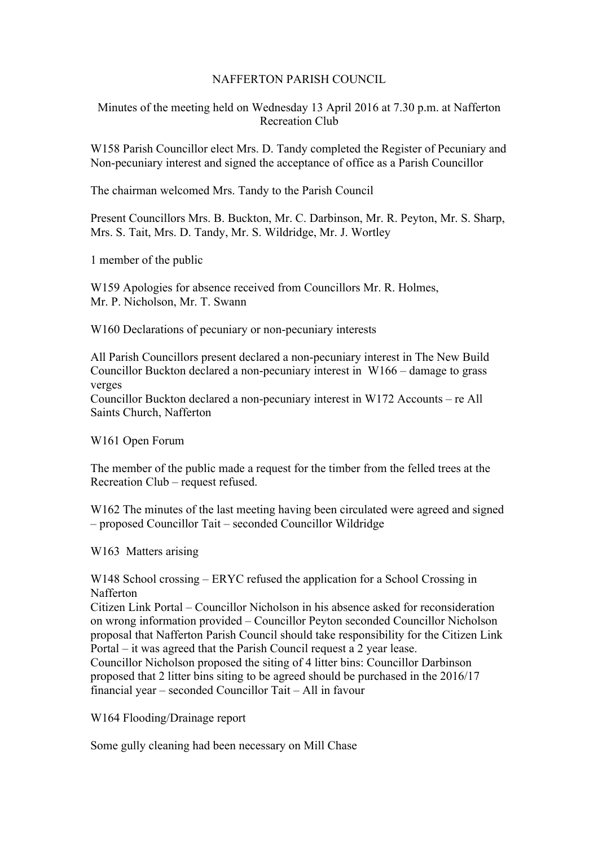## NAFFERTON PARISH COUNCIL

Minutes of the meeting held on Wednesday 13 April 2016 at 7.30 p.m. at Nafferton Recreation Club

W158 Parish Councillor elect Mrs. D. Tandy completed the Register of Pecuniary and Non-pecuniary interest and signed the acceptance of office as a Parish Councillor

The chairman welcomed Mrs. Tandy to the Parish Council

Present Councillors Mrs. B. Buckton, Mr. C. Darbinson, Mr. R. Peyton, Mr. S. Sharp, Mrs. S. Tait, Mrs. D. Tandy, Mr. S. Wildridge, Mr. J. Wortley

1 member of the public

W159 Apologies for absence received from Councillors Mr. R. Holmes, Mr. P. Nicholson, Mr. T. Swann

W160 Declarations of pecuniary or non-pecuniary interests

All Parish Councillors present declared a non-pecuniary interest in The New Build Councillor Buckton declared a non-pecuniary interest in W166 – damage to grass verges

Councillor Buckton declared a non-pecuniary interest in W172 Accounts – re All Saints Church, Nafferton

W161 Open Forum

The member of the public made a request for the timber from the felled trees at the Recreation Club – request refused.

W162 The minutes of the last meeting having been circulated were agreed and signed – proposed Councillor Tait – seconded Councillor Wildridge

W163 Matters arising

W148 School crossing – ERYC refused the application for a School Crossing in Nafferton

Citizen Link Portal – Councillor Nicholson in his absence asked for reconsideration on wrong information provided – Councillor Peyton seconded Councillor Nicholson proposal that Nafferton Parish Council should take responsibility for the Citizen Link Portal – it was agreed that the Parish Council request a 2 year lease. Councillor Nicholson proposed the siting of 4 litter bins: Councillor Darbinson proposed that 2 litter bins siting to be agreed should be purchased in the 2016/17 financial year – seconded Councillor Tait – All in favour

W164 Flooding/Drainage report

Some gully cleaning had been necessary on Mill Chase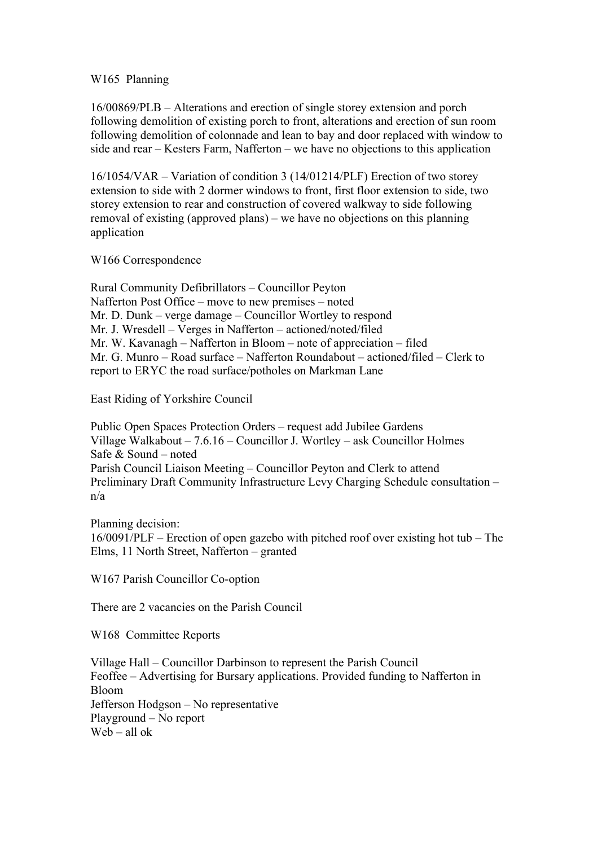## W165 Planning

16/00869/PLB – Alterations and erection of single storey extension and porch following demolition of existing porch to front, alterations and erection of sun room following demolition of colonnade and lean to bay and door replaced with window to side and rear – Kesters Farm, Nafferton – we have no objections to this application

16/1054/VAR – Variation of condition 3 (14/01214/PLF) Erection of two storey extension to side with 2 dormer windows to front, first floor extension to side, two storey extension to rear and construction of covered walkway to side following removal of existing (approved plans) – we have no objections on this planning application

## W166 Correspondence

Rural Community Defibrillators – Councillor Peyton Nafferton Post Office – move to new premises – noted Mr. D. Dunk – verge damage – Councillor Wortley to respond Mr. J. Wresdell – Verges in Nafferton – actioned/noted/filed Mr. W. Kavanagh – Nafferton in Bloom – note of appreciation – filed Mr. G. Munro – Road surface – Nafferton Roundabout – actioned/filed – Clerk to report to ERYC the road surface/potholes on Markman Lane

East Riding of Yorkshire Council

Public Open Spaces Protection Orders – request add Jubilee Gardens Village Walkabout – 7.6.16 – Councillor J. Wortley – ask Councillor Holmes Safe & Sound – noted Parish Council Liaison Meeting – Councillor Peyton and Clerk to attend Preliminary Draft Community Infrastructure Levy Charging Schedule consultation – n/a

Planning decision: 16/0091/PLF – Erection of open gazebo with pitched roof over existing hot tub – The Elms, 11 North Street, Nafferton – granted

W167 Parish Councillor Co-option

There are 2 vacancies on the Parish Council

W168 Committee Reports

Village Hall – Councillor Darbinson to represent the Parish Council Feoffee – Advertising for Bursary applications. Provided funding to Nafferton in Bloom Jefferson Hodgson – No representative Playground – No report Web – all ok